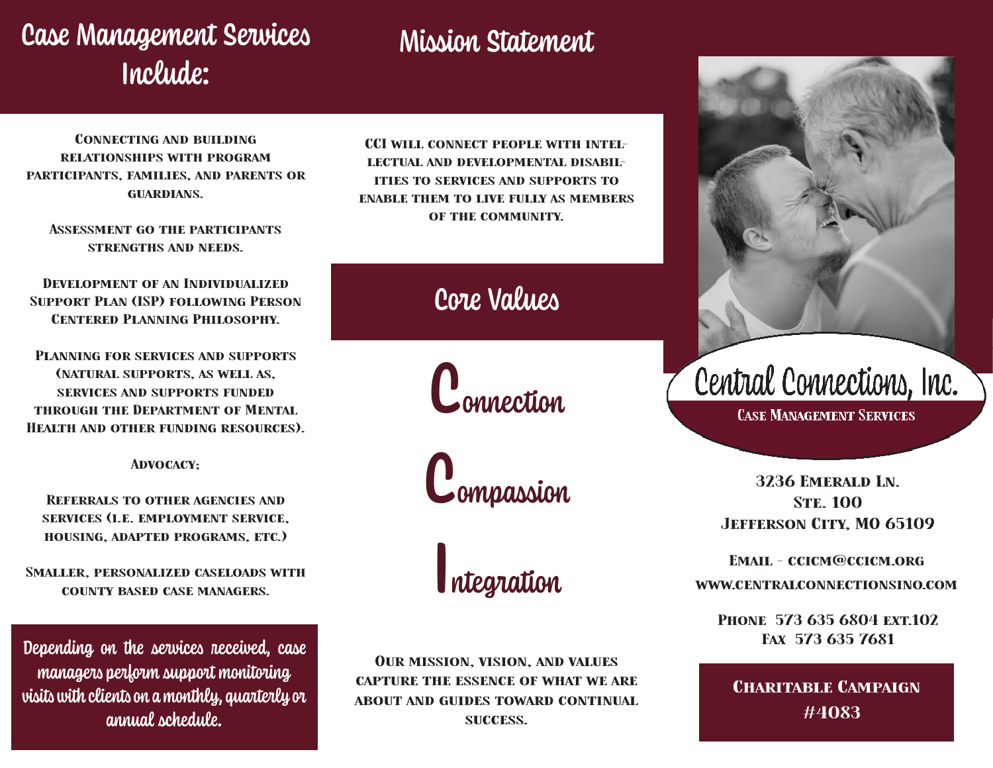## Case Management Services Include:

## Mission Statement

Connecting and building relationships with program participants, families, and parents or **GUARDIANS.** 

Assessment go the participants strengths and needs.

Development of an Individualized Support Plan (ISP) following Person Centered Planning Philosophy.

Planning for services and supports (natural supports, as well as, services and supports funded through the Department of Mental Health and other funding resources).

Advocacy;

Referrals to other agencies and services (i.e. employment service, housing, adapted programs, etc.)

Smaller, personalized caseloads with county based case managers.

Depending on the services received, case managers perform support monitoring visits with clients on a monthly, quarterly or annual schedule.

CCI will connect people with intellectual and developmental disabilities to services and supports to enable them to live fully as members of the community.

Core Values

**C**onnection

Compassion

Integration

Our mission, vision, and values capture the essence of what we are about and guides toward continual success.



**CASE MANAGEMENT SERVICES** 

3236 Emerald Ln. **STE. 100** Jefferson City, MO 65109

Email - ccicm@ccicm.org

www.centralconnectionsino.com

PHONE 573 635 6804 EXT.102 Fax 573 635 7681

**CHARITABLE CAMPAIGN** #4083